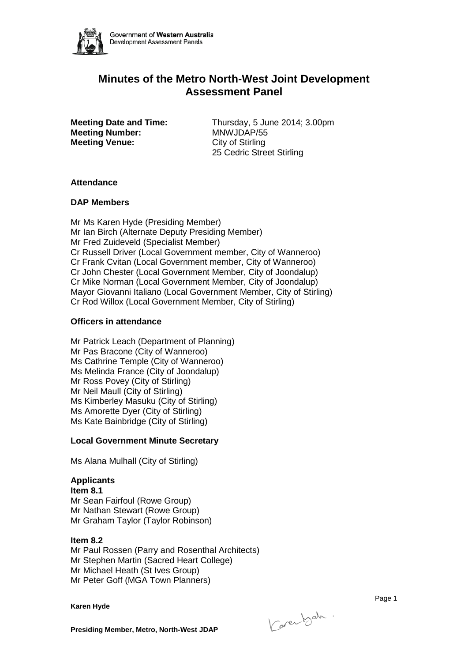

# **Minutes of the Metro North-West Joint Development Assessment Panel**

**Meeting Number: Meeting Venue:** City of Stirling

**Meeting Date and Time:** Thursday, 5 June 2014; 3.00pm<br>**Meeting Number:** MNWJDAP/55 25 Cedric Street Stirling

### **Attendance**

## **DAP Members**

Mr Ms Karen Hyde (Presiding Member) Mr Ian Birch (Alternate Deputy Presiding Member) Mr Fred Zuideveld (Specialist Member) Cr Russell Driver (Local Government member, City of Wanneroo) Cr Frank Cvitan (Local Government member, City of Wanneroo) Cr John Chester (Local Government Member, City of Joondalup) Cr Mike Norman (Local Government Member, City of Joondalup) Mayor Giovanni Italiano (Local Government Member, City of Stirling) Cr Rod Willox (Local Government Member, City of Stirling)

## **Officers in attendance**

Mr Patrick Leach (Department of Planning) Mr Pas Bracone (City of Wanneroo) Ms Cathrine Temple (City of Wanneroo) Ms Melinda France (City of Joondalup) Mr Ross Povey (City of Stirling) Mr Neil Maull (City of Stirling) Ms Kimberley Masuku (City of Stirling) Ms Amorette Dyer (City of Stirling) Ms Kate Bainbridge (City of Stirling)

## **Local Government Minute Secretary**

Ms Alana Mulhall (City of Stirling)

## **Applicants**

**Item 8.1** Mr Sean Fairfoul (Rowe Group) Mr Nathan Stewart (Rowe Group) Mr Graham Taylor (Taylor Robinson)

#### **Item 8.2**

Mr Paul Rossen (Parry and Rosenthal Architects) Mr Stephen Martin (Sacred Heart College) Mr Michael Heath (St Ives Group) Mr Peter Goff (MGA Town Planners)

**Karen Hyde**

Karenbet.

e de la provincia de la provincia de la provincia de la provincia de la provincia de la provincia de la provin

**Presiding Member, Metro, North-West JDAP**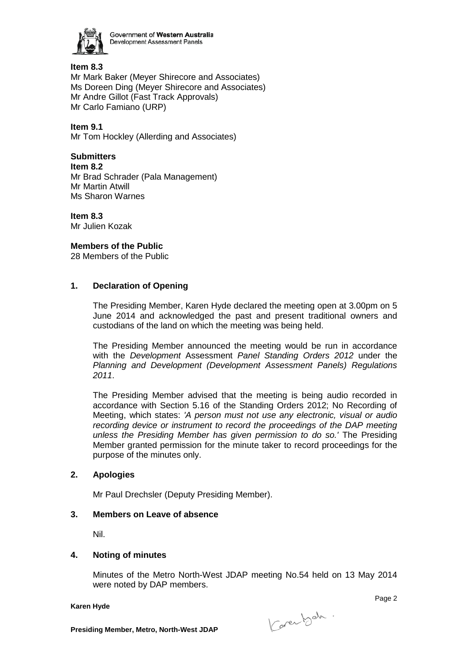

Government of Western Australia Development Assessment Panels

## **Item 8.3** Mr Mark Baker (Meyer Shirecore and Associates) Ms Doreen Ding (Meyer Shirecore and Associates) Mr Andre Gillot (Fast Track Approvals) Mr Carlo Famiano (URP)

**Item 9.1** Mr Tom Hockley (Allerding and Associates)

## **Submitters**

**Item 8.2** Mr Brad Schrader (Pala Management) Mr Martin Atwill Ms Sharon Warnes

**Item 8.3** Mr Julien Kozak

## **Members of the Public**

28 Members of the Public

## **1. Declaration of Opening**

The Presiding Member, Karen Hyde declared the meeting open at 3.00pm on 5 June 2014 and acknowledged the past and present traditional owners and custodians of the land on which the meeting was being held.

The Presiding Member announced the meeting would be run in accordance with the *Development* Assessment *Panel Standing Orders 2012* under the *Planning and Development (Development Assessment Panels) Regulations 2011*.

The Presiding Member advised that the meeting is being audio recorded in accordance with Section 5.16 of the Standing Orders 2012; No Recording of Meeting, which states: *'A person must not use any electronic, visual or audio recording device or instrument to record the proceedings of the DAP meeting unless the Presiding Member has given permission to do so.'* The Presiding Member granted permission for the minute taker to record proceedings for the purpose of the minutes only.

## **2. Apologies**

Mr Paul Drechsler (Deputy Presiding Member).

## **3. Members on Leave of absence**

Nil.

## **4. Noting of minutes**

Minutes of the Metro North-West JDAP meeting No.54 held on 13 May 2014 were noted by DAP members.

**Karen Hyde**

Karenbeh.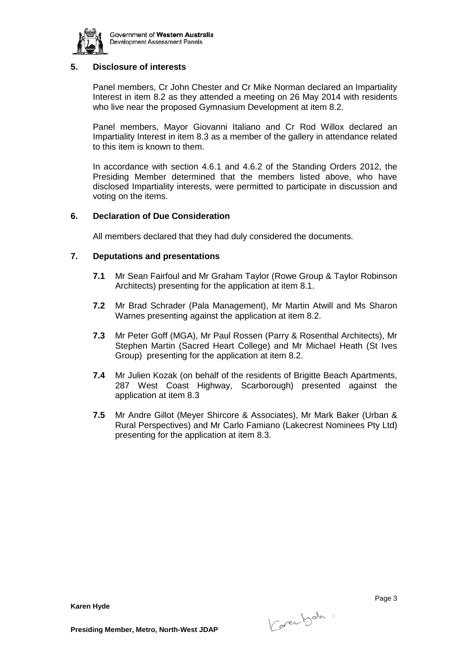

## **5. Disclosure of interests**

Panel members, Cr John Chester and Cr Mike Norman declared an Impartiality Interest in item 8.2 as they attended a meeting on 26 May 2014 with residents who live near the proposed Gymnasium Development at item 8.2.

Panel members, Mayor Giovanni Italiano and Cr Rod Willox declared an Impartiality Interest in item 8.3 as a member of the gallery in attendance related to this item is known to them.

In accordance with section 4.6.1 and 4.6.2 of the Standing Orders 2012, the Presiding Member determined that the members listed above, who have disclosed Impartiality interests, were permitted to participate in discussion and voting on the items.

### **6. Declaration of Due Consideration**

All members declared that they had duly considered the documents.

### **7. Deputations and presentations**

- **7.1** Mr Sean Fairfoul and Mr Graham Taylor (Rowe Group & Taylor Robinson Architects) presenting for the application at item 8.1.
- **7.2** Mr Brad Schrader (Pala Management), Mr Martin Atwill and Ms Sharon Warnes presenting against the application at item 8.2.
- **7.3** Mr Peter Goff (MGA), Mr Paul Rossen (Parry & Rosenthal Architects), Mr Stephen Martin (Sacred Heart College) and Mr Michael Heath (St Ives Group) presenting for the application at item 8.2.
- **7.4** Mr Julien Kozak (on behalf of the residents of Brigitte Beach Apartments, 287 West Coast Highway, Scarborough) presented against the application at item 8.3
- **7.5** Mr Andre Gillot (Meyer Shircore & Associates), Mr Mark Baker (Urban & Rural Perspectives) and Mr Carlo Famiano (Lakecrest Nominees Pty Ltd) presenting for the application at item 8.3.

**Karen Hyde**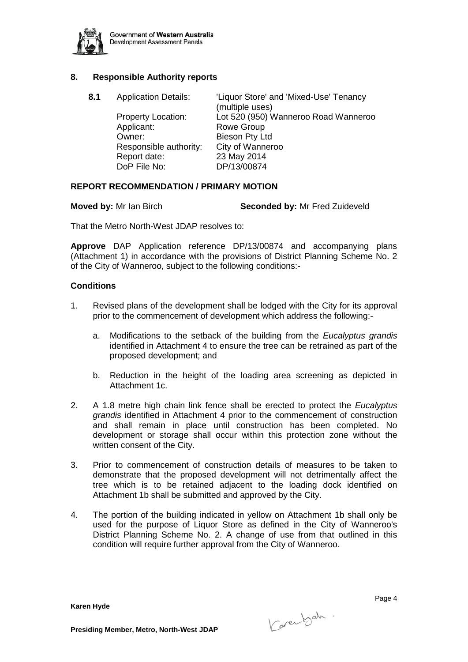

## **8. Responsible Authority reports**

**8.1** Application Details: 'Liquor Store' and 'Mixed-Use' Tenancy (multiple uses) Property Location: Lot 520 (950) Wanneroo Road Wanneroo Applicant: Rowe Group<br>
Cwner: Bieson Pty Lt Bieson Pty Ltd Responsible authority: City of Wanneroo Report date: 23 May 2014 DoP File No: DP/13/00874

### **REPORT RECOMMENDATION / PRIMARY MOTION**

**Moved by:** Mr Ian Birch **Seconded by:** Mr Fred Zuideveld

That the Metro North-West JDAP resolves to:

**Approve** DAP Application reference DP/13/00874 and accompanying plans (Attachment 1) in accordance with the provisions of District Planning Scheme No. 2 of the City of Wanneroo, subject to the following conditions:-

#### **Conditions**

- 1. Revised plans of the development shall be lodged with the City for its approval prior to the commencement of development which address the following:
	- a. Modifications to the setback of the building from the *Eucalyptus grandis* identified in Attachment 4 to ensure the tree can be retrained as part of the proposed development; and
	- b. Reduction in the height of the loading area screening as depicted in Attachment 1c.
- 2. A 1.8 metre high chain link fence shall be erected to protect the *Eucalyptus grandis* identified in Attachment 4 prior to the commencement of construction and shall remain in place until construction has been completed. No development or storage shall occur within this protection zone without the written consent of the City.
- 3. Prior to commencement of construction details of measures to be taken to demonstrate that the proposed development will not detrimentally affect the tree which is to be retained adjacent to the loading dock identified on Attachment 1b shall be submitted and approved by the City.
- 4. The portion of the building indicated in yellow on Attachment 1b shall only be used for the purpose of Liquor Store as defined in the City of Wanneroo's District Planning Scheme No. 2. A change of use from that outlined in this condition will require further approval from the City of Wanneroo.

**Karen Hyde**

Karenbeh.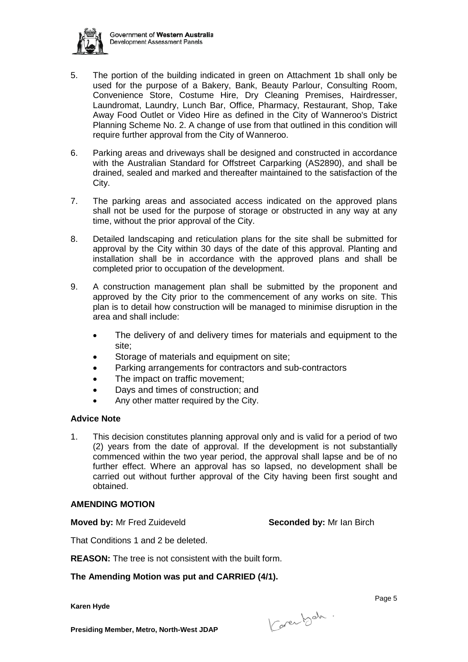

- 5. The portion of the building indicated in green on Attachment 1b shall only be used for the purpose of a Bakery, Bank, Beauty Parlour, Consulting Room, Convenience Store, Costume Hire, Dry Cleaning Premises, Hairdresser, Laundromat, Laundry, Lunch Bar, Office, Pharmacy, Restaurant, Shop, Take Away Food Outlet or Video Hire as defined in the City of Wanneroo's District Planning Scheme No. 2. A change of use from that outlined in this condition will require further approval from the City of Wanneroo.
- 6. Parking areas and driveways shall be designed and constructed in accordance with the Australian Standard for Offstreet Carparking (AS2890), and shall be drained, sealed and marked and thereafter maintained to the satisfaction of the City.
- 7. The parking areas and associated access indicated on the approved plans shall not be used for the purpose of storage or obstructed in any way at any time, without the prior approval of the City.
- 8. Detailed landscaping and reticulation plans for the site shall be submitted for approval by the City within 30 days of the date of this approval. Planting and installation shall be in accordance with the approved plans and shall be completed prior to occupation of the development.
- 9. A construction management plan shall be submitted by the proponent and approved by the City prior to the commencement of any works on site. This plan is to detail how construction will be managed to minimise disruption in the area and shall include:
	- The delivery of and delivery times for materials and equipment to the site;
	- Storage of materials and equipment on site;
	- Parking arrangements for contractors and sub-contractors
	- The impact on traffic movement;
	- Days and times of construction; and
	- Any other matter required by the City.

## **Advice Note**

1. This decision constitutes planning approval only and is valid for a period of two (2) years from the date of approval. If the development is not substantially commenced within the two year period, the approval shall lapse and be of no further effect. Where an approval has so lapsed, no development shall be carried out without further approval of the City having been first sought and obtained.

## **AMENDING MOTION**

**Moved by:** Mr Fred Zuideveld **Seconded by:** Mr Ian Birch

That Conditions 1 and 2 be deleted.

**REASON:** The tree is not consistent with the built form.

**The Amending Motion was put and CARRIED (4/1).**

**Karen Hyde**

e de la provincia de la construcción de la construcción de la construcción de la construcción de la construcció

**Presiding Member, Metro, North-West JDAP**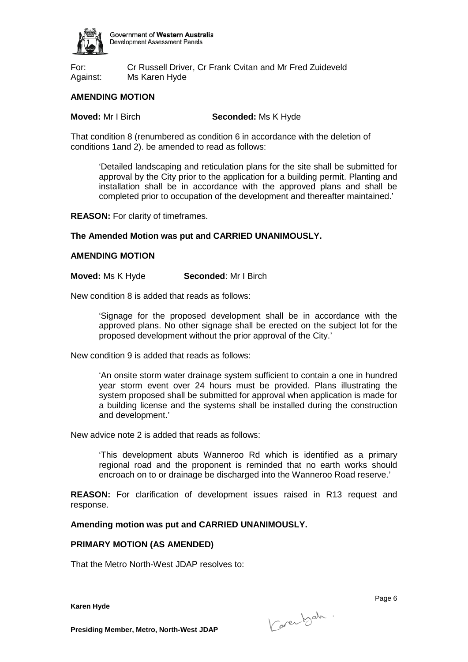

For: Cr Russell Driver, Cr Frank Cvitan and Mr Fred Zuideveld Against: Ms Karen Hyde

## **AMENDING MOTION**

**Moved:** Mr I Birch **Seconded:** Ms K Hyde

That condition 8 (renumbered as condition 6 in accordance with the deletion of conditions 1and 2). be amended to read as follows:

'Detailed landscaping and reticulation plans for the site shall be submitted for approval by the City prior to the application for a building permit. Planting and installation shall be in accordance with the approved plans and shall be completed prior to occupation of the development and thereafter maintained.'

**REASON:** For clarity of timeframes.

### **The Amended Motion was put and CARRIED UNANIMOUSLY.**

#### **AMENDING MOTION**

**Moved:** Ms K Hyde **Seconded**: Mr I Birch

New condition 8 is added that reads as follows:

'Signage for the proposed development shall be in accordance with the approved plans. No other signage shall be erected on the subject lot for the proposed development without the prior approval of the City.'

New condition 9 is added that reads as follows:

'An onsite storm water drainage system sufficient to contain a one in hundred year storm event over 24 hours must be provided. Plans illustrating the system proposed shall be submitted for approval when application is made for a building license and the systems shall be installed during the construction and development.'

New advice note 2 is added that reads as follows:

'This development abuts Wanneroo Rd which is identified as a primary regional road and the proponent is reminded that no earth works should encroach on to or drainage be discharged into the Wanneroo Road reserve.'

**REASON:** For clarification of development issues raised in R13 request and response.

#### **Amending motion was put and CARRIED UNANIMOUSLY.**

#### **PRIMARY MOTION (AS AMENDED)**

That the Metro North-West JDAP resolves to:

**Karen Hyde**

Karenbeh.

e de la provincia de la provincia de la provincia de la provincia de la provincia de la provincia de la provinc

**Presiding Member, Metro, North-West JDAP**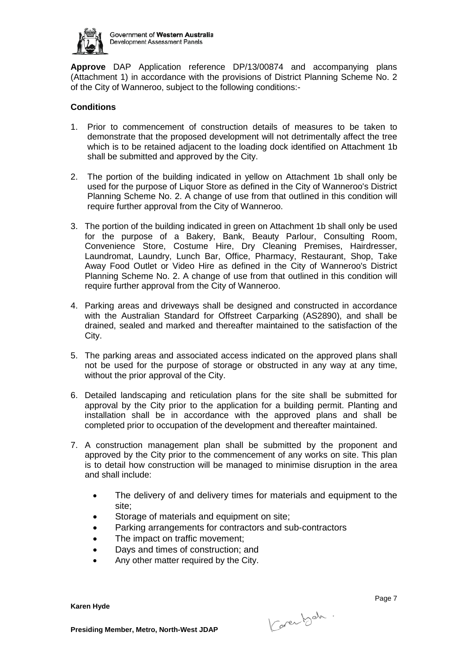

**Approve** DAP Application reference DP/13/00874 and accompanying plans (Attachment 1) in accordance with the provisions of District Planning Scheme No. 2 of the City of Wanneroo, subject to the following conditions:-

## **Conditions**

- 1. Prior to commencement of construction details of measures to be taken to demonstrate that the proposed development will not detrimentally affect the tree which is to be retained adjacent to the loading dock identified on Attachment 1b shall be submitted and approved by the City.
- 2. The portion of the building indicated in yellow on Attachment 1b shall only be used for the purpose of Liquor Store as defined in the City of Wanneroo's District Planning Scheme No. 2. A change of use from that outlined in this condition will require further approval from the City of Wanneroo.
- 3. The portion of the building indicated in green on Attachment 1b shall only be used for the purpose of a Bakery, Bank, Beauty Parlour, Consulting Room, Convenience Store, Costume Hire, Dry Cleaning Premises, Hairdresser, Laundromat, Laundry, Lunch Bar, Office, Pharmacy, Restaurant, Shop, Take Away Food Outlet or Video Hire as defined in the City of Wanneroo's District Planning Scheme No. 2. A change of use from that outlined in this condition will require further approval from the City of Wanneroo.
- 4. Parking areas and driveways shall be designed and constructed in accordance with the Australian Standard for Offstreet Carparking (AS2890), and shall be drained, sealed and marked and thereafter maintained to the satisfaction of the City.
- 5. The parking areas and associated access indicated on the approved plans shall not be used for the purpose of storage or obstructed in any way at any time, without the prior approval of the City.
- 6. Detailed landscaping and reticulation plans for the site shall be submitted for approval by the City prior to the application for a building permit. Planting and installation shall be in accordance with the approved plans and shall be completed prior to occupation of the development and thereafter maintained.
- 7. A construction management plan shall be submitted by the proponent and approved by the City prior to the commencement of any works on site. This plan is to detail how construction will be managed to minimise disruption in the area and shall include:
	- The delivery of and delivery times for materials and equipment to the site;
	- Storage of materials and equipment on site;
	- Parking arrangements for contractors and sub-contractors
	- The impact on traffic movement;
	- Days and times of construction; and
	- Any other matter required by the City.

**Karen Hyde**

Carentsch.

Page 7 (1992) and the contract of the contract of the contract of the contract of the contract of the contract of the contract of the contract of the contract of the contract of the contract of the contract of the contract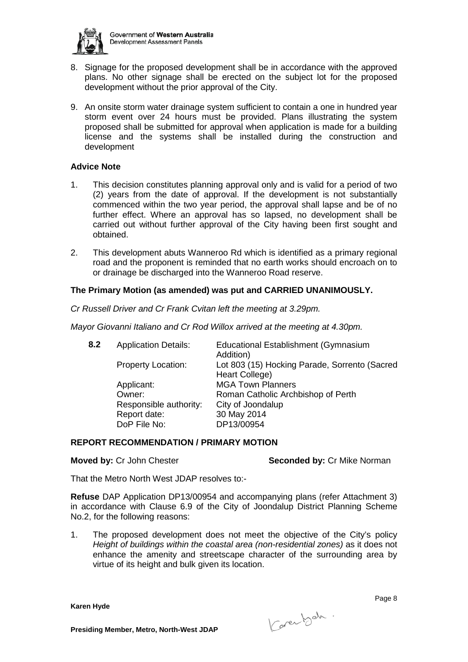

- 8. Signage for the proposed development shall be in accordance with the approved plans. No other signage shall be erected on the subject lot for the proposed development without the prior approval of the City.
- 9. An onsite storm water drainage system sufficient to contain a one in hundred year storm event over 24 hours must be provided. Plans illustrating the system proposed shall be submitted for approval when application is made for a building license and the systems shall be installed during the construction and development

#### **Advice Note**

- 1. This decision constitutes planning approval only and is valid for a period of two (2) years from the date of approval. If the development is not substantially commenced within the two year period, the approval shall lapse and be of no further effect. Where an approval has so lapsed, no development shall be carried out without further approval of the City having been first sought and obtained.
- 2. This development abuts Wanneroo Rd which is identified as a primary regional road and the proponent is reminded that no earth works should encroach on to or drainage be discharged into the Wanneroo Road reserve.

## **The Primary Motion (as amended) was put and CARRIED UNANIMOUSLY.**

*Cr Russell Driver and Cr Frank Cvitan left the meeting at 3.29pm.*

*Mayor Giovanni Italiano and Cr Rod Willox arrived at the meeting at 4.30pm.*

| 8.2 | <b>Application Details:</b> | Educational Establishment (Gymnasium          |
|-----|-----------------------------|-----------------------------------------------|
|     |                             | Addition)                                     |
|     | <b>Property Location:</b>   | Lot 803 (15) Hocking Parade, Sorrento (Sacred |
|     |                             | Heart College)                                |
|     | Applicant:                  | <b>MGA Town Planners</b>                      |
|     | Owner:                      | Roman Catholic Archbishop of Perth            |
|     | Responsible authority:      | City of Joondalup                             |
|     | Report date:                | 30 May 2014                                   |
|     | DoP File No:                | DP13/00954                                    |
|     |                             |                                               |

#### **REPORT RECOMMENDATION / PRIMARY MOTION**

**Moved by:** Cr John Chester **Seconded by:** Cr Mike Norman

That the Metro North West JDAP resolves to:-

**Refuse** DAP Application DP13/00954 and accompanying plans (refer Attachment 3) in accordance with Clause 6.9 of the City of Joondalup District Planning Scheme No.2, for the following reasons:

1. The proposed development does not meet the objective of the City's policy *Height of buildings within the coastal area (non-residential zones)* as it does not enhance the amenity and streetscape character of the surrounding area by virtue of its height and bulk given its location.

**Karen Hyde**

Karenbeh.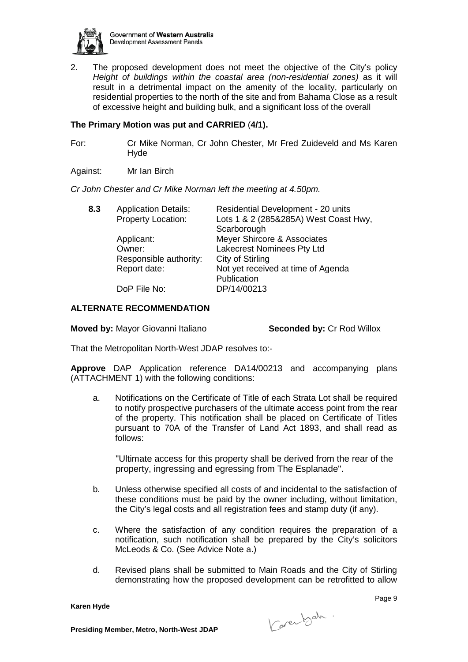

2. The proposed development does not meet the objective of the City's policy *Height of buildings within the coastal area (non-residential zones)* as it will result in a detrimental impact on the amenity of the locality, particularly on residential properties to the north of the site and from Bahama Close as a result of excessive height and building bulk, and a significant loss of the overall

## **The Primary Motion was put and CARRIED** (**4/1).**

For: Cr Mike Norman, Cr John Chester, Mr Fred Zuideveld and Ms Karen Hyde

Against: Mr Ian Birch

*Cr John Chester and Cr Mike Norman left the meeting at 4.50pm.*

| <b>Application Details:</b> | Residential Development - 20 units    |
|-----------------------------|---------------------------------------|
| Property Location:          | Lots 1 & 2 (285&285A) West Coast Hwy, |
|                             | Scarborough                           |
| Applicant:                  | Meyer Shircore & Associates           |
| Owner:                      | Lakecrest Nominees Pty Ltd            |
| Responsible authority:      | City of Stirling                      |
| Report date:                | Not yet received at time of Agenda    |
|                             | Publication                           |
| DoP File No:                | DP/14/00213                           |
|                             |                                       |

## **ALTERNATE RECOMMENDATION**

**Moved by:** Mayor Giovanni Italiano **Seconded by:** Cr Rod Willox

That the Metropolitan North-West JDAP resolves to:-

**Approve** DAP Application reference DA14/00213 and accompanying plans (ATTACHMENT 1) with the following conditions:

a. Notifications on the Certificate of Title of each Strata Lot shall be required to notify prospective purchasers of the ultimate access point from the rear of the property. This notification shall be placed on Certificate of Titles pursuant to 70A of the Transfer of Land Act 1893, and shall read as follows:

"Ultimate access for this property shall be derived from the rear of the property, ingressing and egressing from The Esplanade".

- b. Unless otherwise specified all costs of and incidental to the satisfaction of these conditions must be paid by the owner including, without limitation, the City's legal costs and all registration fees and stamp duty (if any).
- c. Where the satisfaction of any condition requires the preparation of a notification, such notification shall be prepared by the City's solicitors McLeods & Co. (See Advice Note a.)
- d. Revised plans shall be submitted to Main Roads and the City of Stirling demonstrating how the proposed development can be retrofitted to allow

**Karen Hyde**

Carentsch.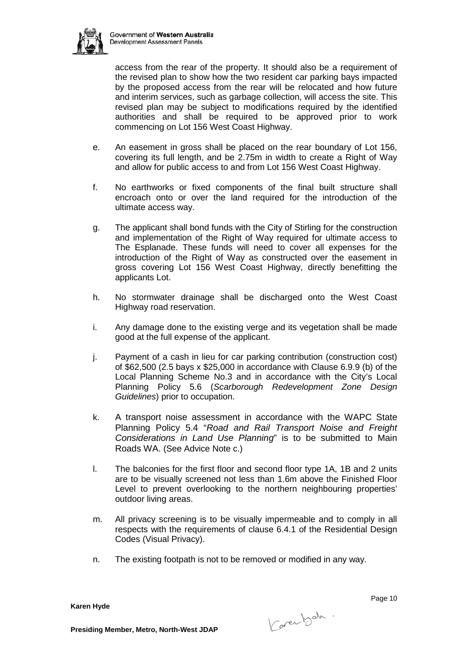

access from the rear of the property. It should also be a requirement of the revised plan to show how the two resident car parking bays impacted by the proposed access from the rear will be relocated and how future and interim services, such as garbage collection, will access the site. This revised plan may be subject to modifications required by the identified authorities and shall be required to be approved prior to work commencing on Lot 156 West Coast Highway.

- e. An easement in gross shall be placed on the rear boundary of Lot 156, covering its full length, and be 2.75m in width to create a Right of Way and allow for public access to and from Lot 156 West Coast Highway.
- f. No earthworks or fixed components of the final built structure shall encroach onto or over the land required for the introduction of the ultimate access way.
- g. The applicant shall bond funds with the City of Stirling for the construction and implementation of the Right of Way required for ultimate access to The Esplanade. These funds will need to cover all expenses for the introduction of the Right of Way as constructed over the easement in gross covering Lot 156 West Coast Highway, directly benefitting the applicants Lot.
- h. No stormwater drainage shall be discharged onto the West Coast Highway road reservation.
- i. Any damage done to the existing verge and its vegetation shall be made good at the full expense of the applicant.
- j. Payment of a cash in lieu for car parking contribution (construction cost) of \$62,500 (2.5 bays x \$25,000 in accordance with Clause 6.9.9 (b) of the Local Planning Scheme No.3 and in accordance with the City's Local Planning Policy 5.6 (*Scarborough Redevelopment Zone Design Guidelines*) prior to occupation.
- k. A transport noise assessment in accordance with the WAPC State Planning Policy 5.4 "*Road and Rail Transport Noise and Freight Considerations in Land Use Planning*" is to be submitted to Main Roads WA. (See Advice Note c.)
- l. The balconies for the first floor and second floor type 1A, 1B and 2 units are to be visually screened not less than 1.6m above the Finished Floor Level to prevent overlooking to the northern neighbouring properties' outdoor living areas.
- m. All privacy screening is to be visually impermeable and to comply in all respects with the requirements of clause 6.4.1 of the Residential Design Codes (Visual Privacy).
- n. The existing footpath is not to be removed or modified in any way.

**Karen Hyde**

Karenbeh.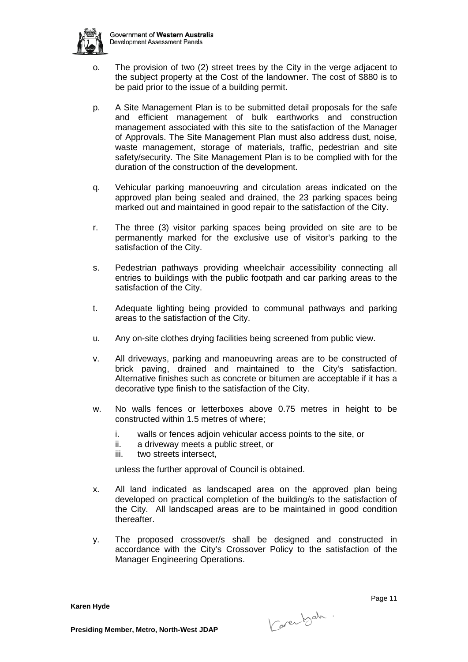

- o. The provision of two (2) street trees by the City in the verge adjacent to the subject property at the Cost of the landowner. The cost of \$880 is to be paid prior to the issue of a building permit.
- p. A Site Management Plan is to be submitted detail proposals for the safe and efficient management of bulk earthworks and construction management associated with this site to the satisfaction of the Manager of Approvals. The Site Management Plan must also address dust, noise, waste management, storage of materials, traffic, pedestrian and site safety/security. The Site Management Plan is to be complied with for the duration of the construction of the development.
- q. Vehicular parking manoeuvring and circulation areas indicated on the approved plan being sealed and drained, the 23 parking spaces being marked out and maintained in good repair to the satisfaction of the City.
- r. The three (3) visitor parking spaces being provided on site are to be permanently marked for the exclusive use of visitor's parking to the satisfaction of the City.
- s. Pedestrian pathways providing wheelchair accessibility connecting all entries to buildings with the public footpath and car parking areas to the satisfaction of the City.
- t. Adequate lighting being provided to communal pathways and parking areas to the satisfaction of the City.
- u. Any on-site clothes drying facilities being screened from public view.
- v. All driveways, parking and manoeuvring areas are to be constructed of brick paving, drained and maintained to the City's satisfaction. Alternative finishes such as concrete or bitumen are acceptable if it has a decorative type finish to the satisfaction of the City.
- w. No walls fences or letterboxes above 0.75 metres in height to be constructed within 1.5 metres of where;
	- i. walls or fences adjoin vehicular access points to the site, or
	- ii. a driveway meets a public street, or
	- iii. two streets intersect,

unless the further approval of Council is obtained.

- x. All land indicated as landscaped area on the approved plan being developed on practical completion of the building/s to the satisfaction of the City. All landscaped areas are to be maintained in good condition thereafter.
- y. The proposed crossover/s shall be designed and constructed in accordance with the City's Crossover Policy to the satisfaction of the Manager Engineering Operations.

**Karen Hyde**

Carentsch.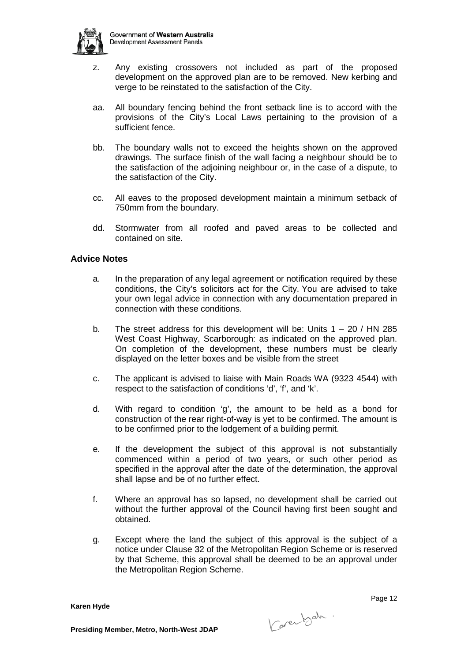

- z. Any existing crossovers not included as part of the proposed development on the approved plan are to be removed. New kerbing and verge to be reinstated to the satisfaction of the City.
- aa. All boundary fencing behind the front setback line is to accord with the provisions of the City's Local Laws pertaining to the provision of a sufficient fence.
- bb. The boundary walls not to exceed the heights shown on the approved drawings. The surface finish of the wall facing a neighbour should be to the satisfaction of the adjoining neighbour or, in the case of a dispute, to the satisfaction of the City.
- cc. All eaves to the proposed development maintain a minimum setback of 750mm from the boundary.
- dd. Stormwater from all roofed and paved areas to be collected and contained on site.

## **Advice Notes**

- a. In the preparation of any legal agreement or notification required by these conditions, the City's solicitors act for the City. You are advised to take your own legal advice in connection with any documentation prepared in connection with these conditions.
- b. The street address for this development will be: Units  $1 20$  / HN 285 West Coast Highway, Scarborough: as indicated on the approved plan. On completion of the development, these numbers must be clearly displayed on the letter boxes and be visible from the street
- c. The applicant is advised to liaise with Main Roads WA (9323 4544) with respect to the satisfaction of conditions 'd', 'f', and 'k'.
- d. With regard to condition 'g', the amount to be held as a bond for construction of the rear right-of-way is yet to be confirmed. The amount is to be confirmed prior to the lodgement of a building permit.
- e. If the development the subject of this approval is not substantially commenced within a period of two years, or such other period as specified in the approval after the date of the determination, the approval shall lapse and be of no further effect.
- f. Where an approval has so lapsed, no development shall be carried out without the further approval of the Council having first been sought and obtained.
- g. Except where the land the subject of this approval is the subject of a notice under Clause 32 of the Metropolitan Region Scheme or is reserved by that Scheme, this approval shall be deemed to be an approval under the Metropolitan Region Scheme.

**Karen Hyde**

Karenbeh.

Page 12 and the contract of the contract of the contract of the contract of the contract of the contract of the contract of the contract of the contract of the contract of the contract of the contract of the contract of th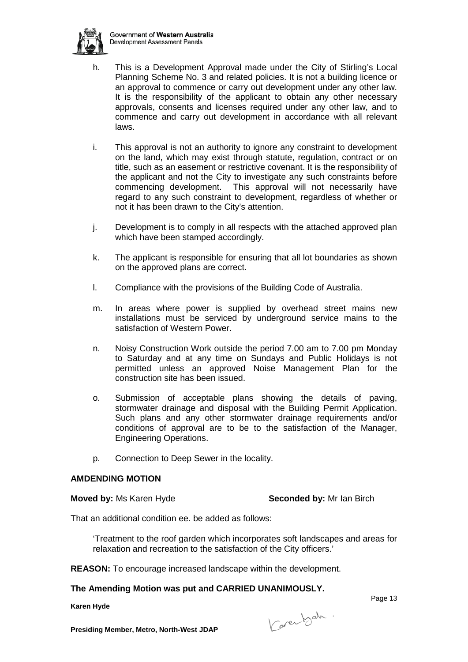

- h. This is a Development Approval made under the City of Stirling's Local Planning Scheme No. 3 and related policies. It is not a building licence or an approval to commence or carry out development under any other law. It is the responsibility of the applicant to obtain any other necessary approvals, consents and licenses required under any other law, and to commence and carry out development in accordance with all relevant laws.
- i. This approval is not an authority to ignore any constraint to development on the land, which may exist through statute, regulation, contract or on title, such as an easement or restrictive covenant. It is the responsibility of the applicant and not the City to investigate any such constraints before commencing development. This approval will not necessarily have regard to any such constraint to development, regardless of whether or not it has been drawn to the City's attention.
- j. Development is to comply in all respects with the attached approved plan which have been stamped accordingly.
- k. The applicant is responsible for ensuring that all lot boundaries as shown on the approved plans are correct.
- l. Compliance with the provisions of the Building Code of Australia.
- m. In areas where power is supplied by overhead street mains new installations must be serviced by underground service mains to the satisfaction of Western Power.
- n. Noisy Construction Work outside the period 7.00 am to 7.00 pm Monday to Saturday and at any time on Sundays and Public Holidays is not permitted unless an approved Noise Management Plan for the construction site has been issued.
- o. Submission of acceptable plans showing the details of paving, stormwater drainage and disposal with the Building Permit Application. Such plans and any other stormwater drainage requirements and/or conditions of approval are to be to the satisfaction of the Manager, Engineering Operations.
- p. Connection to Deep Sewer in the locality.

## **AMDENDING MOTION**

**Moved by:** Ms Karen Hyde **Seconded by:** Mr Ian Birch

That an additional condition ee. be added as follows:

'Treatment to the roof garden which incorporates soft landscapes and areas for relaxation and recreation to the satisfaction of the City officers.'

**REASON:** To encourage increased landscape within the development.

## **The Amending Motion was put and CARRIED UNANIMOUSLY.**

**Karen Hyde**

Karenbet.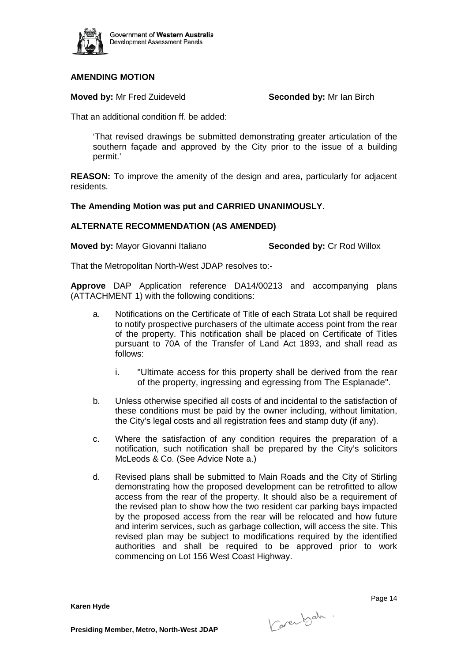

## **AMENDING MOTION**

**Moved by:** Mr Fred Zuideveld **Seconded by:** Mr Ian Birch

That an additional condition ff. be added:

'That revised drawings be submitted demonstrating greater articulation of the southern façade and approved by the City prior to the issue of a building permit.'

**REASON:** To improve the amenity of the design and area, particularly for adjacent residents.

### **The Amending Motion was put and CARRIED UNANIMOUSLY.**

#### **ALTERNATE RECOMMENDATION (AS AMENDED)**

**Moved by:** Mayor Giovanni Italiano **Seconded by:** Cr Rod Willox

That the Metropolitan North-West JDAP resolves to:-

**Approve** DAP Application reference DA14/00213 and accompanying plans (ATTACHMENT 1) with the following conditions:

- a. Notifications on the Certificate of Title of each Strata Lot shall be required to notify prospective purchasers of the ultimate access point from the rear of the property. This notification shall be placed on Certificate of Titles pursuant to 70A of the Transfer of Land Act 1893, and shall read as follows:
	- i. "Ultimate access for this property shall be derived from the rear of the property, ingressing and egressing from The Esplanade".
- b. Unless otherwise specified all costs of and incidental to the satisfaction of these conditions must be paid by the owner including, without limitation, the City's legal costs and all registration fees and stamp duty (if any).
- c. Where the satisfaction of any condition requires the preparation of a notification, such notification shall be prepared by the City's solicitors McLeods & Co. (See Advice Note a.)
- d. Revised plans shall be submitted to Main Roads and the City of Stirling demonstrating how the proposed development can be retrofitted to allow access from the rear of the property. It should also be a requirement of the revised plan to show how the two resident car parking bays impacted by the proposed access from the rear will be relocated and how future and interim services, such as garbage collection, will access the site. This revised plan may be subject to modifications required by the identified authorities and shall be required to be approved prior to work commencing on Lot 156 West Coast Highway.

**Karen Hyde**

Karenbeh.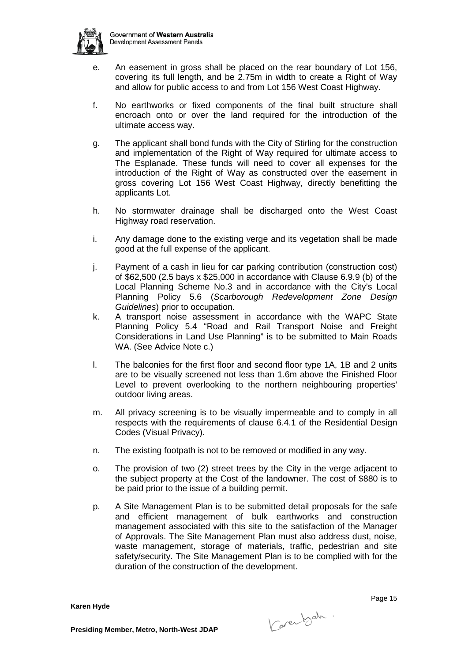

- e. An easement in gross shall be placed on the rear boundary of Lot 156, covering its full length, and be 2.75m in width to create a Right of Way and allow for public access to and from Lot 156 West Coast Highway.
- f. No earthworks or fixed components of the final built structure shall encroach onto or over the land required for the introduction of the ultimate access way.
- g. The applicant shall bond funds with the City of Stirling for the construction and implementation of the Right of Way required for ultimate access to The Esplanade. These funds will need to cover all expenses for the introduction of the Right of Way as constructed over the easement in gross covering Lot 156 West Coast Highway, directly benefitting the applicants Lot.
- h. No stormwater drainage shall be discharged onto the West Coast Highway road reservation.
- i. Any damage done to the existing verge and its vegetation shall be made good at the full expense of the applicant.
- j. Payment of a cash in lieu for car parking contribution (construction cost) of \$62,500 (2.5 bays x \$25,000 in accordance with Clause 6.9.9 (b) of the Local Planning Scheme No.3 and in accordance with the City's Local Planning Policy 5.6 (*Scarborough Redevelopment Zone Design Guidelines*) prior to occupation.
- k. A transport noise assessment in accordance with the WAPC State Planning Policy 5.4 "Road and Rail Transport Noise and Freight Considerations in Land Use Planning" is to be submitted to Main Roads WA. (See Advice Note c.)
- l. The balconies for the first floor and second floor type 1A, 1B and 2 units are to be visually screened not less than 1.6m above the Finished Floor Level to prevent overlooking to the northern neighbouring properties' outdoor living areas.
- m. All privacy screening is to be visually impermeable and to comply in all respects with the requirements of clause 6.4.1 of the Residential Design Codes (Visual Privacy).
- n. The existing footpath is not to be removed or modified in any way.
- o. The provision of two (2) street trees by the City in the verge adjacent to the subject property at the Cost of the landowner. The cost of \$880 is to be paid prior to the issue of a building permit.
- p. A Site Management Plan is to be submitted detail proposals for the safe and efficient management of bulk earthworks and construction management associated with this site to the satisfaction of the Manager of Approvals. The Site Management Plan must also address dust, noise, waste management, storage of materials, traffic, pedestrian and site safety/security. The Site Management Plan is to be complied with for the duration of the construction of the development.

**Karen Hyde**

Karenbeh.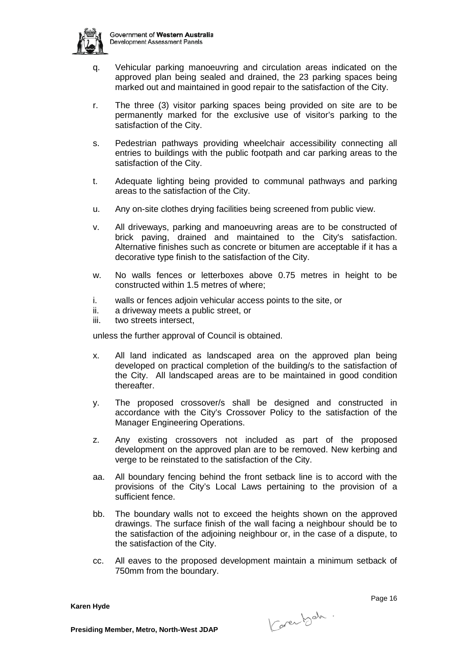

- q. Vehicular parking manoeuvring and circulation areas indicated on the approved plan being sealed and drained, the 23 parking spaces being marked out and maintained in good repair to the satisfaction of the City.
- r. The three (3) visitor parking spaces being provided on site are to be permanently marked for the exclusive use of visitor's parking to the satisfaction of the City.
- s. Pedestrian pathways providing wheelchair accessibility connecting all entries to buildings with the public footpath and car parking areas to the satisfaction of the City.
- t. Adequate lighting being provided to communal pathways and parking areas to the satisfaction of the City.
- u. Any on-site clothes drying facilities being screened from public view.
- v. All driveways, parking and manoeuvring areas are to be constructed of brick paving, drained and maintained to the City's satisfaction. Alternative finishes such as concrete or bitumen are acceptable if it has a decorative type finish to the satisfaction of the City.
- w. No walls fences or letterboxes above 0.75 metres in height to be constructed within 1.5 metres of where;
- i. walls or fences adjoin vehicular access points to the site, or
- ii. a driveway meets a public street, or
- iii. two streets intersect,

unless the further approval of Council is obtained.

- x. All land indicated as landscaped area on the approved plan being developed on practical completion of the building/s to the satisfaction of the City. All landscaped areas are to be maintained in good condition thereafter.
- y. The proposed crossover/s shall be designed and constructed in accordance with the City's Crossover Policy to the satisfaction of the Manager Engineering Operations.
- z. Any existing crossovers not included as part of the proposed development on the approved plan are to be removed. New kerbing and verge to be reinstated to the satisfaction of the City.
- aa. All boundary fencing behind the front setback line is to accord with the provisions of the City's Local Laws pertaining to the provision of a sufficient fence.
- bb. The boundary walls not to exceed the heights shown on the approved drawings. The surface finish of the wall facing a neighbour should be to the satisfaction of the adjoining neighbour or, in the case of a dispute, to the satisfaction of the City.
- cc. All eaves to the proposed development maintain a minimum setback of 750mm from the boundary.

**Karen Hyde**

Karenbeh.

e de la construcción de la construcción de la construcción de la construcción de la construcción de la construcción de la construcción de la construcción de la construcción de la construcción de la construcción de la const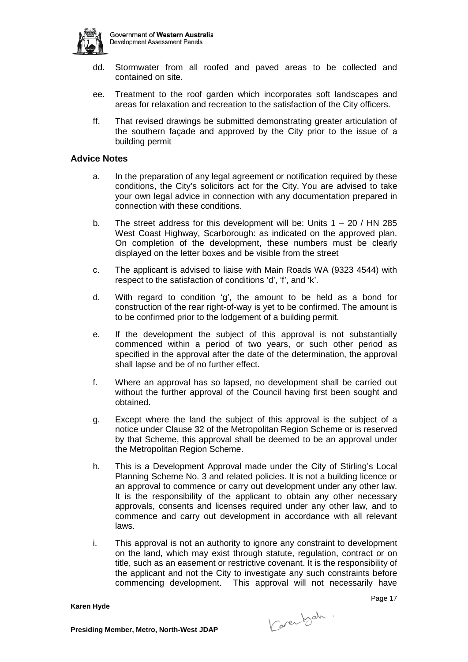

- dd. Stormwater from all roofed and paved areas to be collected and contained on site.
- ee. Treatment to the roof garden which incorporates soft landscapes and areas for relaxation and recreation to the satisfaction of the City officers.
- ff. That revised drawings be submitted demonstrating greater articulation of the southern façade and approved by the City prior to the issue of a building permit

#### **Advice Notes**

- a. In the preparation of any legal agreement or notification required by these conditions, the City's solicitors act for the City. You are advised to take your own legal advice in connection with any documentation prepared in connection with these conditions.
- b. The street address for this development will be: Units 1 20 / HN 285 West Coast Highway, Scarborough: as indicated on the approved plan. On completion of the development, these numbers must be clearly displayed on the letter boxes and be visible from the street
- c. The applicant is advised to liaise with Main Roads WA (9323 4544) with respect to the satisfaction of conditions 'd', 'f', and 'k'.
- d. With regard to condition 'g', the amount to be held as a bond for construction of the rear right-of-way is yet to be confirmed. The amount is to be confirmed prior to the lodgement of a building permit.
- e. If the development the subject of this approval is not substantially commenced within a period of two years, or such other period as specified in the approval after the date of the determination, the approval shall lapse and be of no further effect.
- f. Where an approval has so lapsed, no development shall be carried out without the further approval of the Council having first been sought and obtained.
- g. Except where the land the subject of this approval is the subject of a notice under Clause 32 of the Metropolitan Region Scheme or is reserved by that Scheme, this approval shall be deemed to be an approval under the Metropolitan Region Scheme.
- h. This is a Development Approval made under the City of Stirling's Local Planning Scheme No. 3 and related policies. It is not a building licence or an approval to commence or carry out development under any other law. It is the responsibility of the applicant to obtain any other necessary approvals, consents and licenses required under any other law, and to commence and carry out development in accordance with all relevant laws.
- i. This approval is not an authority to ignore any constraint to development on the land, which may exist through statute, regulation, contract or on title, such as an easement or restrictive covenant. It is the responsibility of the applicant and not the City to investigate any such constraints before commencing development. This approval will not necessarily have

**Karen Hyde**

Karenbeh.

Page 17 (1992) and the contract of the contract of the contract of the contract of the contract of the contract of the contract of the contract of the contract of the contract of the contract of the contract of the contrac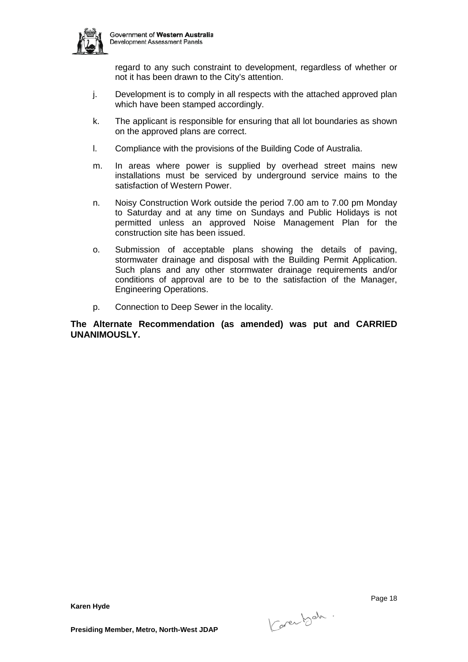

regard to any such constraint to development, regardless of whether or not it has been drawn to the City's attention.

- j. Development is to comply in all respects with the attached approved plan which have been stamped accordingly.
- k. The applicant is responsible for ensuring that all lot boundaries as shown on the approved plans are correct.
- l. Compliance with the provisions of the Building Code of Australia.
- m. In areas where power is supplied by overhead street mains new installations must be serviced by underground service mains to the satisfaction of Western Power.
- n. Noisy Construction Work outside the period 7.00 am to 7.00 pm Monday to Saturday and at any time on Sundays and Public Holidays is not permitted unless an approved Noise Management Plan for the construction site has been issued.
- o. Submission of acceptable plans showing the details of paving, stormwater drainage and disposal with the Building Permit Application. Such plans and any other stormwater drainage requirements and/or conditions of approval are to be to the satisfaction of the Manager, Engineering Operations.
- p. Connection to Deep Sewer in the locality.

**The Alternate Recommendation (as amended) was put and CARRIED UNANIMOUSLY.**

e de la provincia de la provincia de la provincia de la provincia de la provincia de la provincia de la provincia d

**Karen Hyde**

Karenbeh.